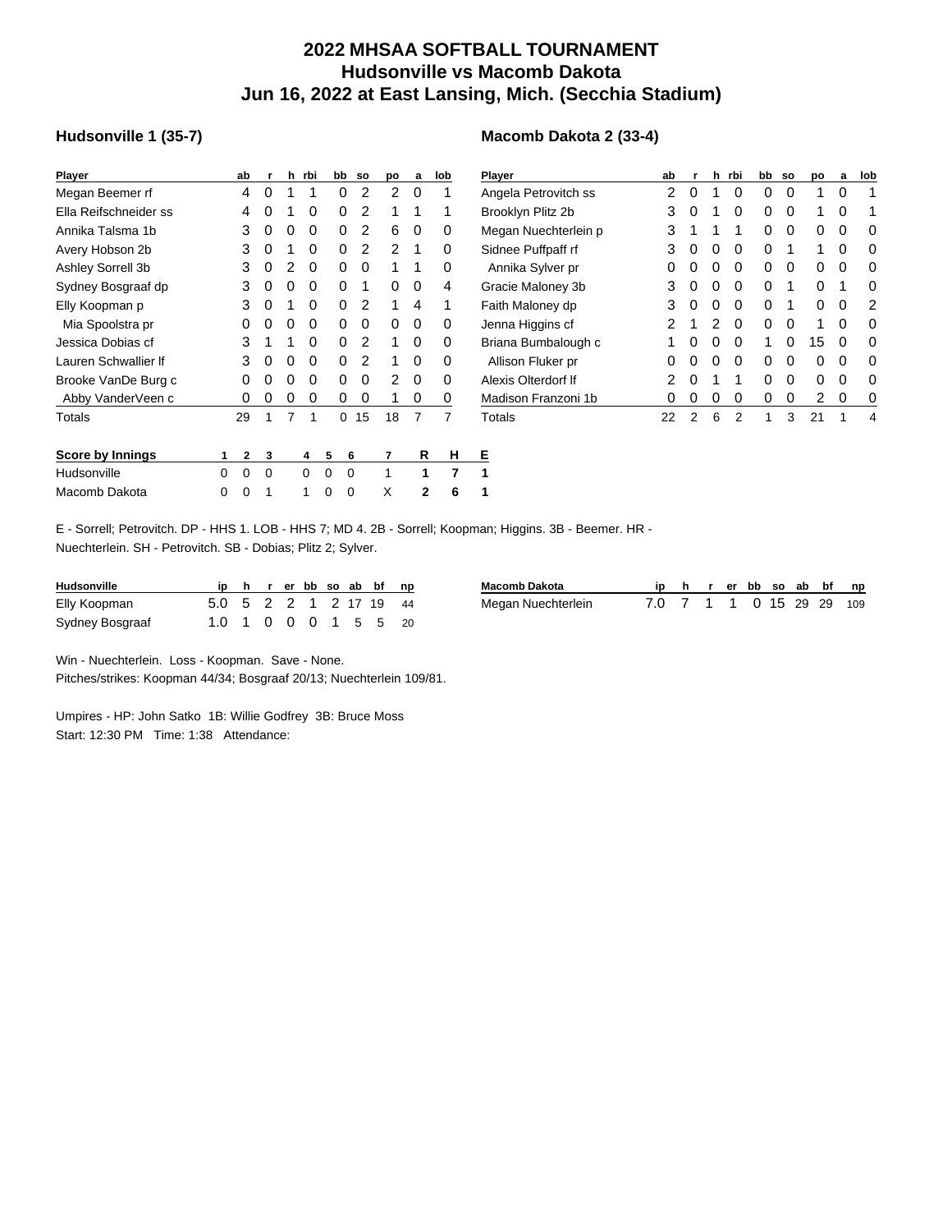## **2022 MHSAA SOFTBALL TOURNAMENT Hudsonville vs Macomb Dakota Jun 16, 2022 at East Lansing, Mich. (Secchia Stadium)**

**Macomb Dakota 2 (33-4)**

## **Hudsonville 1 (35-7)**

| <b>Player</b>           |   | ab          | r | h | rbi | bb       | <b>SO</b> | po | a | lob | Ⴒ |
|-------------------------|---|-------------|---|---|-----|----------|-----------|----|---|-----|---|
| Megan Beemer rf         |   | 4           | 0 | 1 | 1   | 0        | 2         | 2  | 0 | 1   | Α |
| Ella Reifschneider ss   |   | 4           | 0 | 1 | 0   | 0        | 2         | 1  | 1 | 1   | в |
| Annika Talsma 1b        |   | 3           | 0 | 0 | 0   | 0        | 2         | 6  | 0 | 0   | N |
| Avery Hobson 2b         |   | 3           | 0 | 1 | 0   | 0        | 2         | 2  | 1 | 0   | S |
| Ashley Sorrell 3b       |   | 3           | 0 | 2 | 0   | 0        | 0         | 1  | 1 | 0   |   |
| Sydney Bosgraaf dp      |   | 3           | 0 | 0 | 0   | $\Omega$ | 1         | 0  | 0 | 4   | G |
| Elly Koopman p          |   | 3           | 0 | 1 | 0   | 0        | 2         | 1  | 4 | 1   | F |
| Mia Spoolstra pr        |   | 0           | 0 | 0 | 0   | 0        | 0         | 0  | 0 | 0   | J |
| Jessica Dobias cf       |   | 3           | 1 | 1 | 0   | 0        | 2         | 1  | 0 | 0   | в |
| Lauren Schwallier If    |   | 3           | 0 | 0 | 0   | 0        | 2         | 1  | 0 | 0   |   |
| Brooke VanDe Burg c     |   | 0           | 0 | 0 | 0   | 0        | 0         | 2  | 0 | 0   | А |
| Abby VanderVeen c       |   | 0           | 0 | 0 | 0   | 0        | 0         | 1  | 0 | 0   | N |
| Totals                  |   | 29          | 1 | 7 | 1   | 0        | 15        | 18 | 7 | 7   | T |
| <b>Score by Innings</b> | 1 | $\mathbf 2$ | 3 |   | 4   | 5        | 6         | 7  | R | н   | Е |
| Hudsonville             | 0 | 0           | 0 |   | 0   | 0        | 0         | 1  | 1 | 7   | 1 |
| Macomb Dakota           | Ω | Ω           |   |   | 1   | ი        | 0         | Χ  | 2 | 6   | 1 |

| Player               | ab | r | h | rbi | bb | <b>SO</b> | po | a | lob |
|----------------------|----|---|---|-----|----|-----------|----|---|-----|
| Angela Petrovitch ss | 2  | 0 | 1 | 0   | 0  | 0         | 1  | 0 | 1   |
| Brooklyn Plitz 2b    | 3  | 0 | 1 | 0   | 0  | 0         | 1  | 0 |     |
| Megan Nuechterlein p | 3  | 1 | 1 | 1   | 0  | 0         | 0  | 0 | O   |
| Sidnee Puffpaff rf   | 3  | 0 | 0 | 0   | 0  | 1         | 1  | 0 | 0   |
| Annika Sylver pr     | 0  | 0 | 0 | 0   | 0  | 0         | 0  | 0 | 0   |
| Gracie Maloney 3b    | 3  | 0 | 0 | 0   | 0  | 1         | U  | 1 | O   |
| Faith Maloney dp     | 3  | 0 | 0 | 0   | O  | 1         | ი  | O | 2   |
| Jenna Higgins cf     | 2  | 1 | 2 | 0   | 0  | 0         | 1  | 0 | 0   |
| Briana Bumbalough c  | 1  | 0 | 0 | 0   | 1  | 0         | 15 | 0 | O   |
| Allison Fluker pr    | 0  | 0 | 0 | 0   | O  | 0         | ი  | O | O   |
| Alexis Olterdorf If  | 2  | 0 | 1 | 1   | O  | 0         | ი  | 0 | O   |
| Madison Franzoni 1b  | 0  | 0 | 0 | 0   | 0  | 0         | 2  | 0 | O   |
| Totals               | 22 | 2 | 6 | 2   | 1  | 3         | 21 | 1 | 4   |

E - Sorrell; Petrovitch. DP - HHS 1. LOB - HHS 7; MD 4. 2B - Sorrell; Koopman; Higgins. 3B - Beemer. HR - Nuechterlein. SH - Petrovitch. SB - Dobias; Plitz 2; Sylver.

| <b>Hudsonville</b> |                        |  |  |  | ip h r er bb so ab bf np |
|--------------------|------------------------|--|--|--|--------------------------|
| Elly Koopman       | 5.0 5 2 2 1 2 17 19 44 |  |  |  |                          |
| Sydney Bosgraaf    | 1.0 1 0 0 0 1 5 5 20   |  |  |  |                          |

| <b>Macomb Dakota</b> |                          |  |  |  | ip h r er bb so ab bf np |
|----------------------|--------------------------|--|--|--|--------------------------|
| Megan Nuechterlein   | 7.0 7 1 1 0 15 29 29 109 |  |  |  |                          |

Win - Nuechterlein. Loss - Koopman. Save - None.

Pitches/strikes: Koopman 44/34; Bosgraaf 20/13; Nuechterlein 109/81.

Umpires - HP: John Satko 1B: Willie Godfrey 3B: Bruce Moss Start: 12:30 PM Time: 1:38 Attendance: